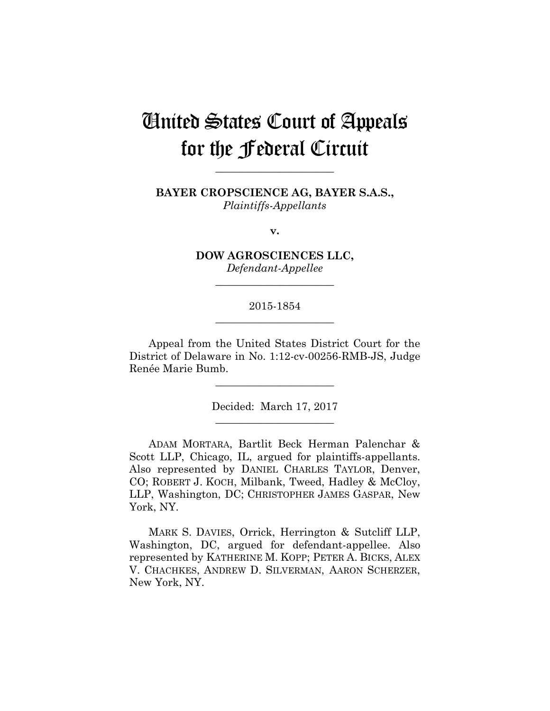# United States Court of Appeals for the Federal Circuit

**BAYER CROPSCIENCE AG, BAYER S.A.S.,** *Plaintiffs-Appellants*

**\_\_\_\_\_\_\_\_\_\_\_\_\_\_\_\_\_\_\_\_\_\_** 

**v.**

**DOW AGROSCIENCES LLC,** *Defendant-Appellee*

**\_\_\_\_\_\_\_\_\_\_\_\_\_\_\_\_\_\_\_\_\_\_** 

## 2015-1854 **\_\_\_\_\_\_\_\_\_\_\_\_\_\_\_\_\_\_\_\_\_\_**

Appeal from the United States District Court for the District of Delaware in No. 1:12-cv-00256-RMB-JS, Judge Renée Marie Bumb.

> Decided: March 17, 2017 **\_\_\_\_\_\_\_\_\_\_\_\_\_\_\_\_\_\_\_\_\_\_**

**\_\_\_\_\_\_\_\_\_\_\_\_\_\_\_\_\_\_\_\_\_\_** 

ADAM MORTARA, Bartlit Beck Herman Palenchar & Scott LLP, Chicago, IL, argued for plaintiffs-appellants. Also represented by DANIEL CHARLES TAYLOR, Denver, CO; ROBERT J. KOCH, Milbank, Tweed, Hadley & McCloy, LLP, Washington, DC; CHRISTOPHER JAMES GASPAR, New York, NY.

MARK S. DAVIES, Orrick, Herrington & Sutcliff LLP, Washington, DC, argued for defendant-appellee. Also represented by KATHERINE M. KOPP; PETER A. BICKS, ALEX V. CHACHKES, ANDREW D. SILVERMAN, AARON SCHERZER, New York, NY.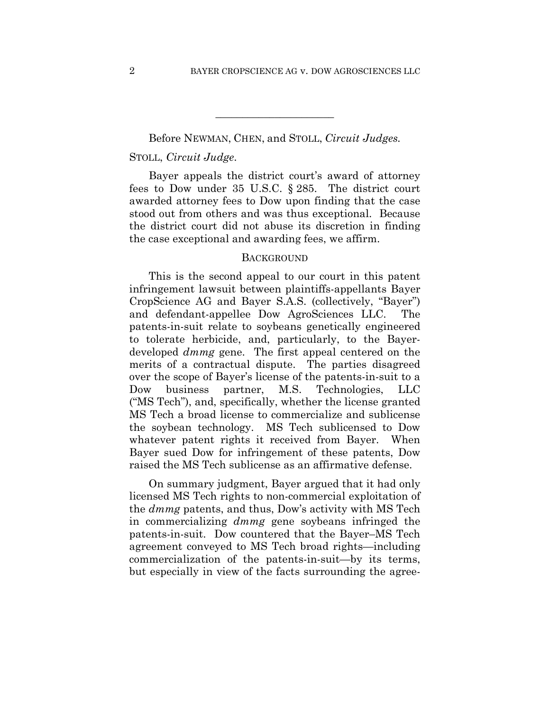Before NEWMAN, CHEN, and STOLL, *Circuit Judges.*

**\_\_\_\_\_\_\_\_\_\_\_\_\_\_\_\_\_\_\_\_\_\_** 

## STOLL, *Circuit Judge*.

Bayer appeals the district court's award of attorney fees to Dow under 35 U.S.C. § 285. The district court awarded attorney fees to Dow upon finding that the case stood out from others and was thus exceptional. Because the district court did not abuse its discretion in finding the case exceptional and awarding fees, we affirm.

#### **BACKGROUND**

This is the second appeal to our court in this patent infringement lawsuit between plaintiffs-appellants Bayer CropScience AG and Bayer S.A.S. (collectively, "Bayer") and defendant-appellee Dow AgroSciences LLC. The patents-in-suit relate to soybeans genetically engineered to tolerate herbicide, and, particularly, to the Bayerdeveloped *dmmg* gene. The first appeal centered on the merits of a contractual dispute. The parties disagreed over the scope of Bayer's license of the patents-in-suit to a Dow business partner, M.S. Technologies, LLC ("MS Tech"), and, specifically, whether the license granted MS Tech a broad license to commercialize and sublicense the soybean technology. MS Tech sublicensed to Dow whatever patent rights it received from Bayer. When Bayer sued Dow for infringement of these patents, Dow raised the MS Tech sublicense as an affirmative defense.

On summary judgment, Bayer argued that it had only licensed MS Tech rights to non-commercial exploitation of the *dmmg* patents, and thus, Dow's activity with MS Tech in commercializing *dmmg* gene soybeans infringed the patents-in-suit. Dow countered that the Bayer–MS Tech agreement conveyed to MS Tech broad rights—including commercialization of the patents-in-suit—by its terms, but especially in view of the facts surrounding the agree-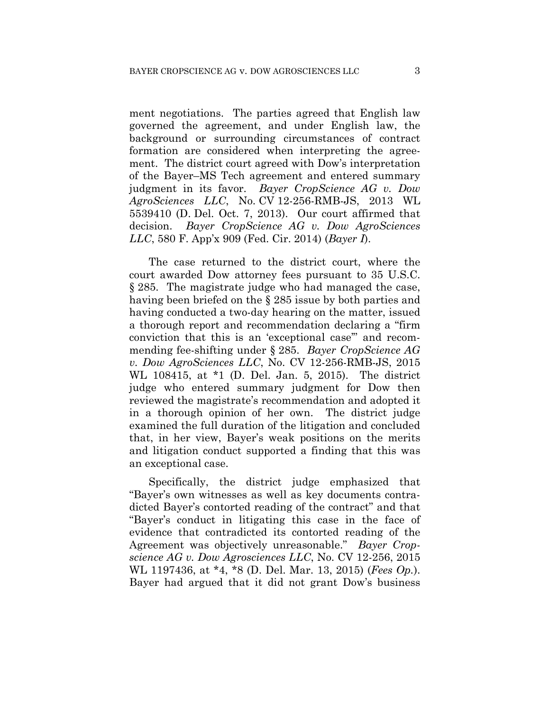ment negotiations. The parties agreed that English law governed the agreement, and under English law, the background or surrounding circumstances of contract formation are considered when interpreting the agreement. The district court agreed with Dow's interpretation of the Bayer–MS Tech agreement and entered summary judgment in its favor. *Bayer CropScience AG v. Dow AgroSciences LLC*, No. CV 12-256-RMB-JS, 2013 WL 5539410 (D. Del. Oct. 7, 2013). Our court affirmed that decision. *Bayer CropScience AG v. Dow AgroSciences LLC*, 580 F. App'x 909 (Fed. Cir. 2014) (*Bayer I*).

The case returned to the district court, where the court awarded Dow attorney fees pursuant to 35 U.S.C. § 285. The magistrate judge who had managed the case, having been briefed on the § 285 issue by both parties and having conducted a two-day hearing on the matter, issued a thorough report and recommendation declaring a "firm conviction that this is an 'exceptional case'" and recommending fee-shifting under § 285. *Bayer CropScience AG v. Dow AgroSciences LLC*, No. CV 12-256-RMB-JS, 2015 WL 108415, at \*1 (D. Del. Jan. 5, 2015). The district judge who entered summary judgment for Dow then reviewed the magistrate's recommendation and adopted it in a thorough opinion of her own. The district judge examined the full duration of the litigation and concluded that, in her view, Bayer's weak positions on the merits and litigation conduct supported a finding that this was an exceptional case.

Specifically, the district judge emphasized that "Bayer's own witnesses as well as key documents contradicted Bayer's contorted reading of the contract" and that "Bayer's conduct in litigating this case in the face of evidence that contradicted its contorted reading of the Agreement was objectively unreasonable." *Bayer Cropscience AG v. Dow Agrosciences LLC*, No. CV 12-256, 2015 WL 1197436, at \*4, \*8 (D. Del. Mar. 13, 2015) (*Fees Op.*). Bayer had argued that it did not grant Dow's business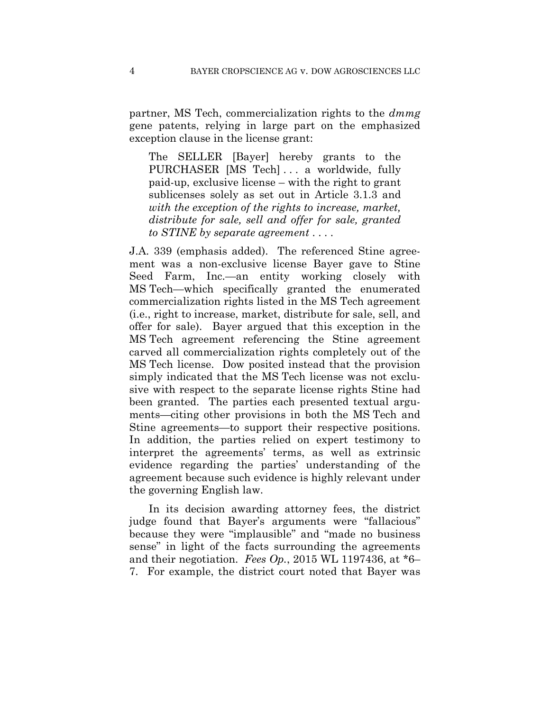partner, MS Tech, commercialization rights to the *dmmg*  gene patents, relying in large part on the emphasized exception clause in the license grant:

The SELLER [Bayer] hereby grants to the PURCHASER [MS Tech] . . . a worldwide, fully paid-up, exclusive license – with the right to grant sublicenses solely as set out in Article 3.1.3 and *with the exception of the rights to increase, market, distribute for sale, sell and offer for sale, granted to STINE by separate agreement* . . . .

J.A. 339 (emphasis added). The referenced Stine agreement was a non-exclusive license Bayer gave to Stine Seed Farm, Inc.—an entity working closely with MS Tech—which specifically granted the enumerated commercialization rights listed in the MS Tech agreement (i.e., right to increase, market, distribute for sale, sell, and offer for sale). Bayer argued that this exception in the MS Tech agreement referencing the Stine agreement carved all commercialization rights completely out of the MS Tech license. Dow posited instead that the provision simply indicated that the MS Tech license was not exclusive with respect to the separate license rights Stine had been granted. The parties each presented textual arguments—citing other provisions in both the MS Tech and Stine agreements—to support their respective positions. In addition, the parties relied on expert testimony to interpret the agreements' terms, as well as extrinsic evidence regarding the parties' understanding of the agreement because such evidence is highly relevant under the governing English law.

In its decision awarding attorney fees, the district judge found that Bayer's arguments were "fallacious" because they were "implausible" and "made no business sense" in light of the facts surrounding the agreements and their negotiation. *Fees Op.*, 2015 WL 1197436, at \*6– 7. For example, the district court noted that Bayer was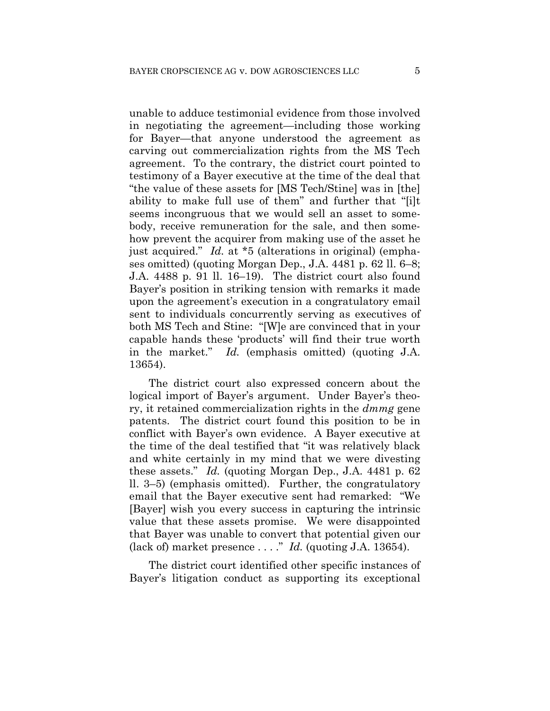unable to adduce testimonial evidence from those involved in negotiating the agreement—including those working for Bayer—that anyone understood the agreement as carving out commercialization rights from the MS Tech agreement. To the contrary, the district court pointed to testimony of a Bayer executive at the time of the deal that "the value of these assets for [MS Tech/Stine] was in [the] ability to make full use of them" and further that "[i]t seems incongruous that we would sell an asset to somebody, receive remuneration for the sale, and then somehow prevent the acquirer from making use of the asset he just acquired." *Id.* at \*5 (alterations in original) (emphases omitted) (quoting Morgan Dep., J.A. 4481 p. 62 ll. 6–8; J.A. 4488 p. 91 ll. 16–19). The district court also found Bayer's position in striking tension with remarks it made upon the agreement's execution in a congratulatory email sent to individuals concurrently serving as executives of both MS Tech and Stine: "[W]e are convinced that in your capable hands these 'products' will find their true worth in the market." *Id.* (emphasis omitted) (quoting J.A. 13654).

The district court also expressed concern about the logical import of Bayer's argument. Under Bayer's theory, it retained commercialization rights in the *dmmg* gene patents. The district court found this position to be in conflict with Bayer's own evidence. A Bayer executive at the time of the deal testified that "it was relatively black and white certainly in my mind that we were divesting these assets." *Id.* (quoting Morgan Dep., J.A. 4481 p. 62 ll. 3–5) (emphasis omitted). Further, the congratulatory email that the Bayer executive sent had remarked: "We [Bayer] wish you every success in capturing the intrinsic value that these assets promise. We were disappointed that Bayer was unable to convert that potential given our (lack of) market presence . . . ." *Id.* (quoting J.A. 13654).

The district court identified other specific instances of Bayer's litigation conduct as supporting its exceptional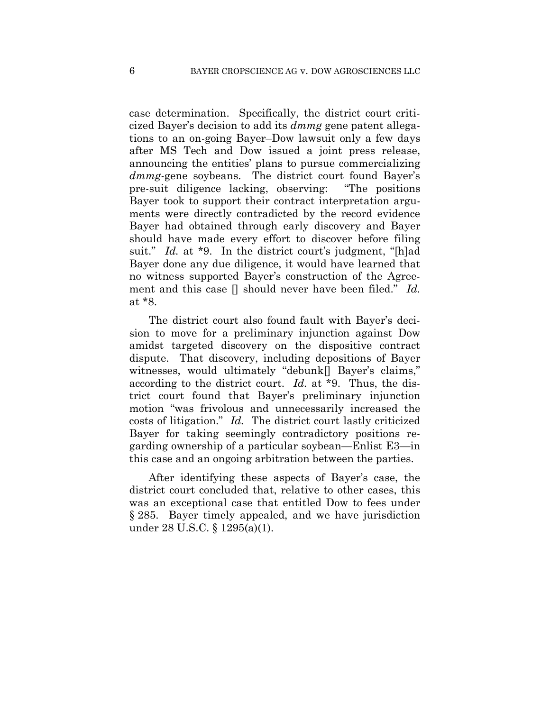case determination. Specifically, the district court criticized Bayer's decision to add its *dmmg* gene patent allegations to an on-going Bayer–Dow lawsuit only a few days after MS Tech and Dow issued a joint press release, announcing the entities' plans to pursue commercializing *dmmg*-gene soybeans. The district court found Bayer's pre-suit diligence lacking, observing: "The positions Bayer took to support their contract interpretation arguments were directly contradicted by the record evidence Bayer had obtained through early discovery and Bayer should have made every effort to discover before filing suit." *Id.* at \*9. In the district court's judgment, "[h]ad Bayer done any due diligence, it would have learned that no witness supported Bayer's construction of the Agreement and this case [] should never have been filed." *Id.*  at \*8.

The district court also found fault with Bayer's decision to move for a preliminary injunction against Dow amidst targeted discovery on the dispositive contract dispute. That discovery, including depositions of Bayer witnesses, would ultimately "debunk[] Bayer's claims," according to the district court. *Id.* at \*9. Thus, the district court found that Bayer's preliminary injunction motion "was frivolous and unnecessarily increased the costs of litigation." *Id.* The district court lastly criticized Bayer for taking seemingly contradictory positions regarding ownership of a particular soybean—Enlist E3—in this case and an ongoing arbitration between the parties.

After identifying these aspects of Bayer's case, the district court concluded that, relative to other cases, this was an exceptional case that entitled Dow to fees under § 285. Bayer timely appealed, and we have jurisdiction under 28 U.S.C. § 1295(a)(1).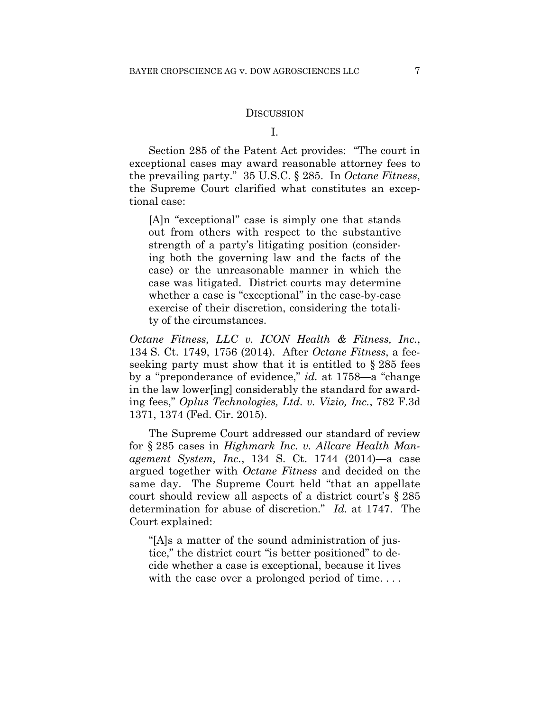#### **DISCUSSION**

I.

Section 285 of the Patent Act provides: "The court in exceptional cases may award reasonable attorney fees to the prevailing party." 35 U.S.C. § 285. In *Octane Fitness*, the Supreme Court clarified what constitutes an exceptional case:

[A]n "exceptional" case is simply one that stands out from others with respect to the substantive strength of a party's litigating position (considering both the governing law and the facts of the case) or the unreasonable manner in which the case was litigated. District courts may determine whether a case is "exceptional" in the case-by-case exercise of their discretion, considering the totality of the circumstances.

*Octane Fitness, LLC v. ICON Health & Fitness, Inc.*, 134 S. Ct. 1749, 1756 (2014). After *Octane Fitness*, a feeseeking party must show that it is entitled to § 285 fees by a "preponderance of evidence," *id.* at 1758—a "change in the law lower[ing] considerably the standard for awarding fees," *Oplus Technologies, Ltd. v. Vizio, Inc.*, 782 F.3d 1371, 1374 (Fed. Cir. 2015).

The Supreme Court addressed our standard of review for § 285 cases in *Highmark Inc. v. Allcare Health Management System, Inc.*, 134 S. Ct. 1744 (2014)—a case argued together with *Octane Fitness* and decided on the same day. The Supreme Court held "that an appellate court should review all aspects of a district court's § 285 determination for abuse of discretion." *Id.* at 1747. The Court explained:

"[A]s a matter of the sound administration of justice," the district court "is better positioned" to decide whether a case is exceptional, because it lives with the case over a prolonged period of time...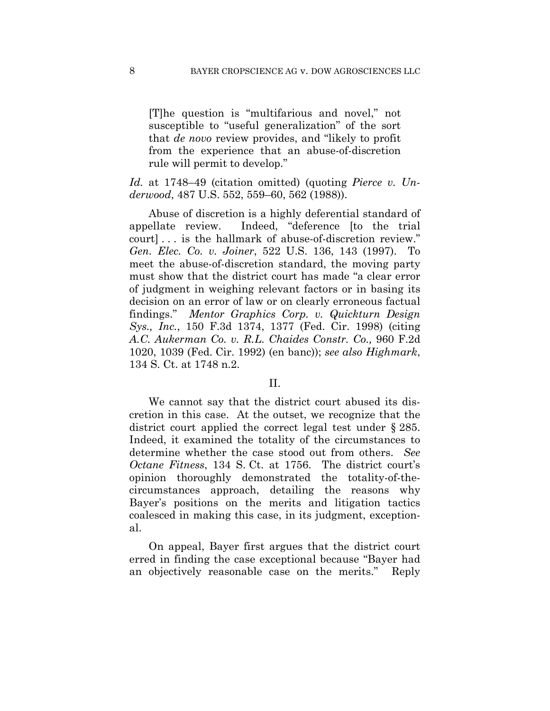[T]he question is "multifarious and novel," not susceptible to "useful generalization" of the sort that *de novo* review provides, and "likely to profit from the experience that an abuse-of-discretion rule will permit to develop."

*Id.* at 1748–49 (citation omitted) (quoting *Pierce v. Underwood*, 487 U.S. 552, 559–60, 562 (1988)).

Abuse of discretion is a highly deferential standard of appellate review. Indeed, "deference [to the trial court] . . . is the hallmark of abuse-of-discretion review." *Gen. Elec. Co. v. Joiner*, 522 U.S. 136, 143 (1997). To meet the abuse-of-discretion standard, the moving party must show that the district court has made "a clear error of judgment in weighing relevant factors or in basing its decision on an error of law or on clearly erroneous factual findings." *Mentor Graphics Corp. v. Quickturn Design Sys., Inc.*, 150 F.3d 1374, 1377 (Fed. Cir. 1998) (citing *A.C. Aukerman Co. v. R.L. Chaides Constr. Co.,* 960 F.2d 1020, 1039 (Fed. Cir. 1992) (en banc)); *see also Highmark*, 134 S. Ct. at 1748 n.2.

#### II.

We cannot say that the district court abused its discretion in this case. At the outset, we recognize that the district court applied the correct legal test under § 285. Indeed, it examined the totality of the circumstances to determine whether the case stood out from others. *See Octane Fitness*, 134 S. Ct. at 1756. The district court's opinion thoroughly demonstrated the totality-of-thecircumstances approach, detailing the reasons why Bayer's positions on the merits and litigation tactics coalesced in making this case, in its judgment, exceptional.

On appeal, Bayer first argues that the district court erred in finding the case exceptional because "Bayer had an objectively reasonable case on the merits." Reply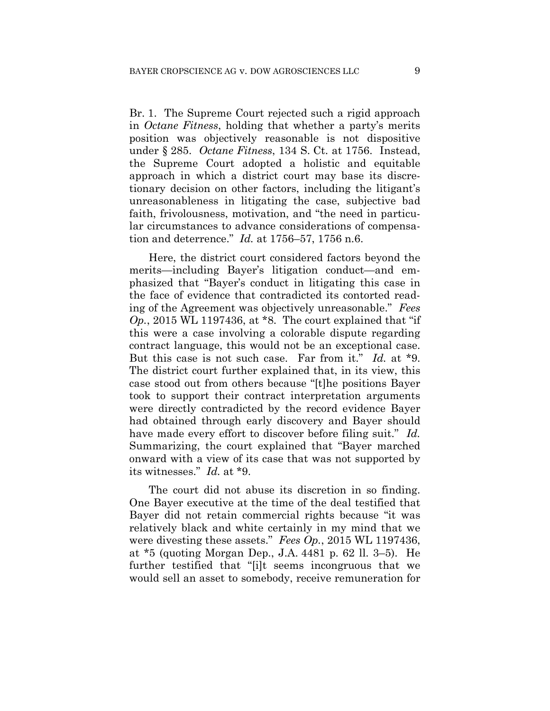Br. 1. The Supreme Court rejected such a rigid approach in *Octane Fitness*, holding that whether a party's merits position was objectively reasonable is not dispositive under § 285. *Octane Fitness*, 134 S. Ct. at 1756. Instead, the Supreme Court adopted a holistic and equitable approach in which a district court may base its discretionary decision on other factors, including the litigant's unreasonableness in litigating the case, subjective bad faith, frivolousness, motivation, and "the need in particular circumstances to advance considerations of compensation and deterrence." *Id.* at 1756–57, 1756 n.6.

Here, the district court considered factors beyond the merits—including Bayer's litigation conduct—and emphasized that "Bayer's conduct in litigating this case in the face of evidence that contradicted its contorted reading of the Agreement was objectively unreasonable." *Fees Op.*, 2015 WL 1197436, at \*8. The court explained that "if this were a case involving a colorable dispute regarding contract language, this would not be an exceptional case. But this case is not such case. Far from it." *Id.* at \*9. The district court further explained that, in its view, this case stood out from others because "[t]he positions Bayer took to support their contract interpretation arguments were directly contradicted by the record evidence Bayer had obtained through early discovery and Bayer should have made every effort to discover before filing suit." *Id.* Summarizing, the court explained that "Bayer marched onward with a view of its case that was not supported by its witnesses." *Id.* at \*9.

The court did not abuse its discretion in so finding. One Bayer executive at the time of the deal testified that Bayer did not retain commercial rights because "it was relatively black and white certainly in my mind that we were divesting these assets." *Fees Op.*, 2015 WL 1197436, at \*5 (quoting Morgan Dep., J.A. 4481 p. 62 ll. 3–5). He further testified that "[i]t seems incongruous that we would sell an asset to somebody, receive remuneration for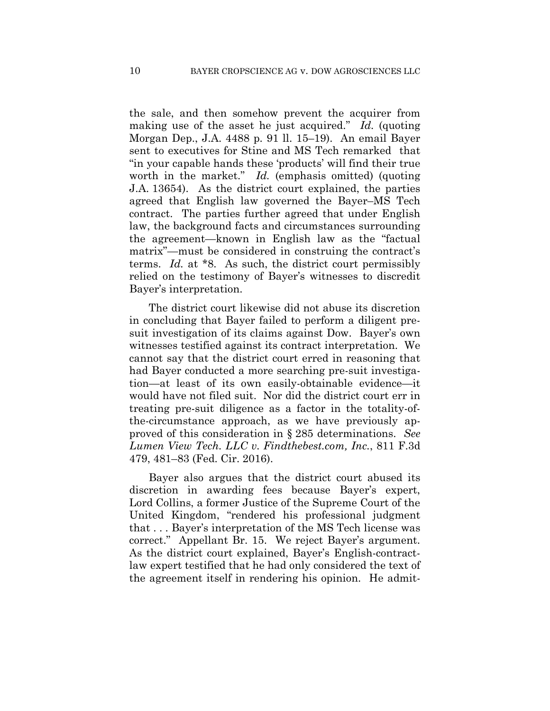the sale, and then somehow prevent the acquirer from making use of the asset he just acquired." *Id.* (quoting Morgan Dep., J.A. 4488 p. 91 ll. 15–19). An email Bayer sent to executives for Stine and MS Tech remarked that "in your capable hands these 'products' will find their true worth in the market." *Id.* (emphasis omitted) (quoting J.A. 13654). As the district court explained, the parties agreed that English law governed the Bayer–MS Tech contract. The parties further agreed that under English law, the background facts and circumstances surrounding the agreement—known in English law as the "factual matrix"—must be considered in construing the contract's terms. *Id.* at \*8. As such, the district court permissibly relied on the testimony of Bayer's witnesses to discredit Bayer's interpretation.

The district court likewise did not abuse its discretion in concluding that Bayer failed to perform a diligent presuit investigation of its claims against Dow. Bayer's own witnesses testified against its contract interpretation. We cannot say that the district court erred in reasoning that had Bayer conducted a more searching pre-suit investigation—at least of its own easily-obtainable evidence—it would have not filed suit. Nor did the district court err in treating pre-suit diligence as a factor in the totality-ofthe-circumstance approach, as we have previously approved of this consideration in § 285 determinations. *See Lumen View Tech. LLC v. Findthebest.com, Inc.*, 811 F.3d 479, 481–83 (Fed. Cir. 2016).

Bayer also argues that the district court abused its discretion in awarding fees because Bayer's expert, Lord Collins, a former Justice of the Supreme Court of the United Kingdom, "rendered his professional judgment that . . . Bayer's interpretation of the MS Tech license was correct." Appellant Br. 15. We reject Bayer's argument. As the district court explained, Bayer's English-contractlaw expert testified that he had only considered the text of the agreement itself in rendering his opinion. He admit-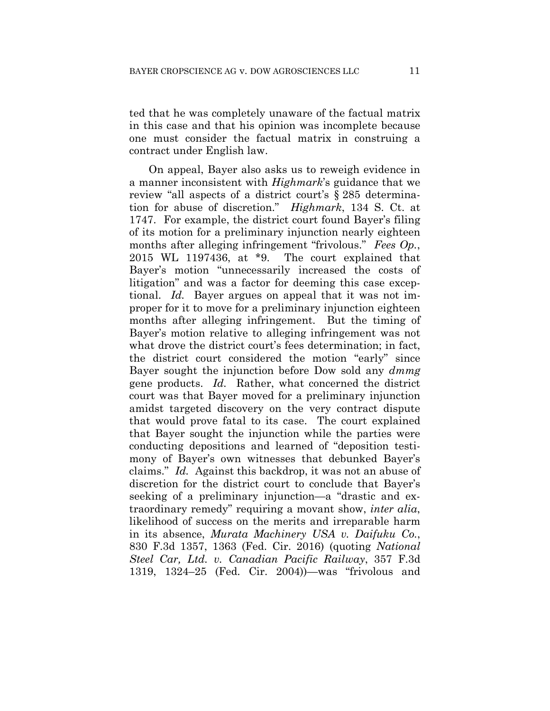ted that he was completely unaware of the factual matrix in this case and that his opinion was incomplete because one must consider the factual matrix in construing a contract under English law.

On appeal, Bayer also asks us to reweigh evidence in a manner inconsistent with *Highmark*'s guidance that we review "all aspects of a district court's § 285 determination for abuse of discretion." *Highmark*, 134 S. Ct. at 1747. For example, the district court found Bayer's filing of its motion for a preliminary injunction nearly eighteen months after alleging infringement "frivolous." *Fees Op.*, 2015 WL 1197436, at \*9. The court explained that Bayer's motion "unnecessarily increased the costs of litigation" and was a factor for deeming this case exceptional. *Id.* Bayer argues on appeal that it was not improper for it to move for a preliminary injunction eighteen months after alleging infringement. But the timing of Bayer's motion relative to alleging infringement was not what drove the district court's fees determination; in fact, the district court considered the motion "early" since Bayer sought the injunction before Dow sold any *dmmg* gene products. *Id.* Rather, what concerned the district court was that Bayer moved for a preliminary injunction amidst targeted discovery on the very contract dispute that would prove fatal to its case. The court explained that Bayer sought the injunction while the parties were conducting depositions and learned of "deposition testimony of Bayer's own witnesses that debunked Bayer's claims." *Id.* Against this backdrop, it was not an abuse of discretion for the district court to conclude that Bayer's seeking of a preliminary injunction—a "drastic and extraordinary remedy" requiring a movant show, *inter alia*, likelihood of success on the merits and irreparable harm in its absence, *Murata Machinery USA v. Daifuku Co.*, 830 F.3d 1357, 1363 (Fed. Cir. 2016) (quoting *National Steel Car, Ltd. v. Canadian Pacific Railway*, 357 F.3d 1319, 1324–25 (Fed. Cir. 2004))—was "frivolous and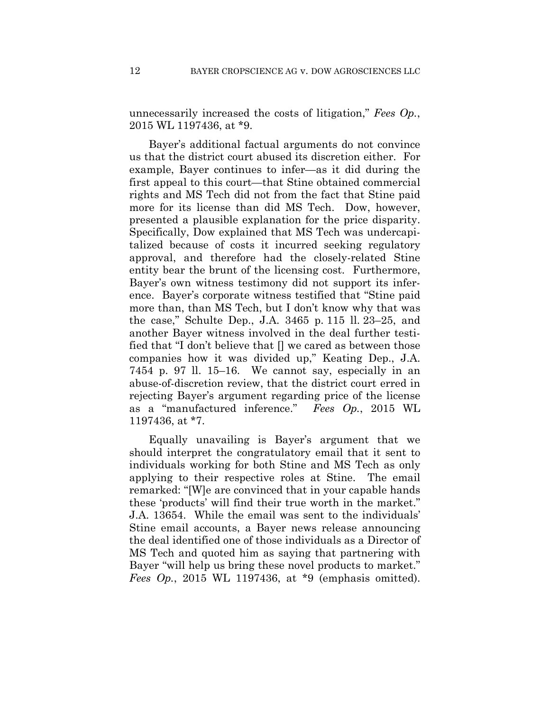unnecessarily increased the costs of litigation," *Fees Op.*, 2015 WL 1197436, at \*9.

Bayer's additional factual arguments do not convince us that the district court abused its discretion either. For example, Bayer continues to infer—as it did during the first appeal to this court—that Stine obtained commercial rights and MS Tech did not from the fact that Stine paid more for its license than did MS Tech. Dow, however, presented a plausible explanation for the price disparity. Specifically, Dow explained that MS Tech was undercapitalized because of costs it incurred seeking regulatory approval, and therefore had the closely-related Stine entity bear the brunt of the licensing cost. Furthermore, Bayer's own witness testimony did not support its inference. Bayer's corporate witness testified that "Stine paid more than, than MS Tech, but I don't know why that was the case," Schulte Dep., J.A. 3465 p. 115 ll. 23–25, and another Bayer witness involved in the deal further testified that "I don't believe that [] we cared as between those companies how it was divided up," Keating Dep., J.A. 7454 p. 97 ll. 15–16. We cannot say, especially in an abuse-of-discretion review, that the district court erred in rejecting Bayer's argument regarding price of the license as a "manufactured inference." *Fees Op.*, 2015 WL 1197436, at \*7.

Equally unavailing is Bayer's argument that we should interpret the congratulatory email that it sent to individuals working for both Stine and MS Tech as only applying to their respective roles at Stine. The email remarked: "[W]e are convinced that in your capable hands these 'products' will find their true worth in the market." J.A. 13654. While the email was sent to the individuals' Stine email accounts, a Bayer news release announcing the deal identified one of those individuals as a Director of MS Tech and quoted him as saying that partnering with Bayer "will help us bring these novel products to market." *Fees Op.*, 2015 WL 1197436, at \*9 (emphasis omitted).